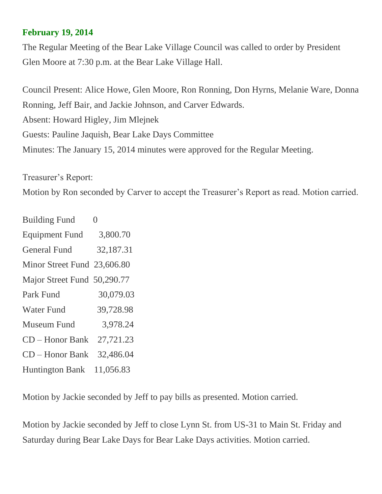## **February 19, 2014**

The Regular Meeting of the Bear Lake Village Council was called to order by President Glen Moore at 7:30 p.m. at the Bear Lake Village Hall.

Council Present: Alice Howe, Glen Moore, Ron Ronning, Don Hyrns, Melanie Ware, Donna Ronning, Jeff Bair, and Jackie Johnson, and Carver Edwards. Absent: Howard Higley, Jim Mlejnek Guests: Pauline Jaquish, Bear Lake Days Committee Minutes: The January 15, 2014 minutes were approved for the Regular Meeting.

Treasurer's Report:

Motion by Ron seconded by Carver to accept the Treasurer's Report as read. Motion carried.

| <b>Building Fund</b>        | $\overline{0}$ |
|-----------------------------|----------------|
| <b>Equipment Fund</b>       | 3,800.70       |
| <b>General Fund</b>         | 32,187.31      |
| Minor Street Fund 23,606.80 |                |
| Major Street Fund 50,290.77 |                |
| <b>Park Fund</b>            | 30,079.03      |
| <b>Water Fund</b>           | 39,728.98      |
| Museum Fund                 | 3,978.24       |
| CD – Honor Bank             | 27,721.23      |
| <b>CD</b> – Honor Bank      | 32,486.04      |
| <b>Huntington Bank</b>      | 11,056.83      |

Motion by Jackie seconded by Jeff to pay bills as presented. Motion carried.

Motion by Jackie seconded by Jeff to close Lynn St. from US-31 to Main St. Friday and Saturday during Bear Lake Days for Bear Lake Days activities. Motion carried.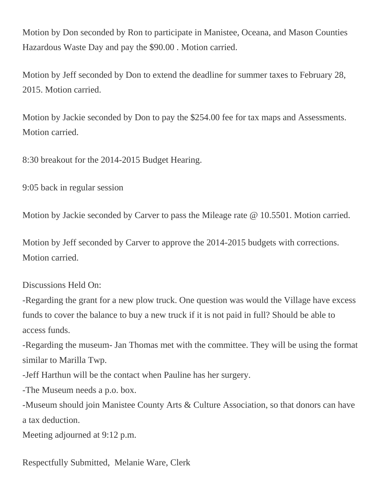Motion by Don seconded by Ron to participate in Manistee, Oceana, and Mason Counties Hazardous Waste Day and pay the \$90.00 . Motion carried.

Motion by Jeff seconded by Don to extend the deadline for summer taxes to February 28, 2015. Motion carried.

Motion by Jackie seconded by Don to pay the \$254.00 fee for tax maps and Assessments. Motion carried.

8:30 breakout for the 2014-2015 Budget Hearing.

9:05 back in regular session

Motion by Jackie seconded by Carver to pass the Mileage rate @ 10.5501. Motion carried.

Motion by Jeff seconded by Carver to approve the 2014-2015 budgets with corrections. Motion carried.

Discussions Held On:

-Regarding the grant for a new plow truck. One question was would the Village have excess funds to cover the balance to buy a new truck if it is not paid in full? Should be able to access funds.

-Regarding the museum- Jan Thomas met with the committee. They will be using the format similar to Marilla Twp.

-Jeff Harthun will be the contact when Pauline has her surgery.

-The Museum needs a p.o. box.

-Museum should join Manistee County Arts & Culture Association, so that donors can have a tax deduction.

Meeting adjourned at 9:12 p.m.

Respectfully Submitted, Melanie Ware, Clerk